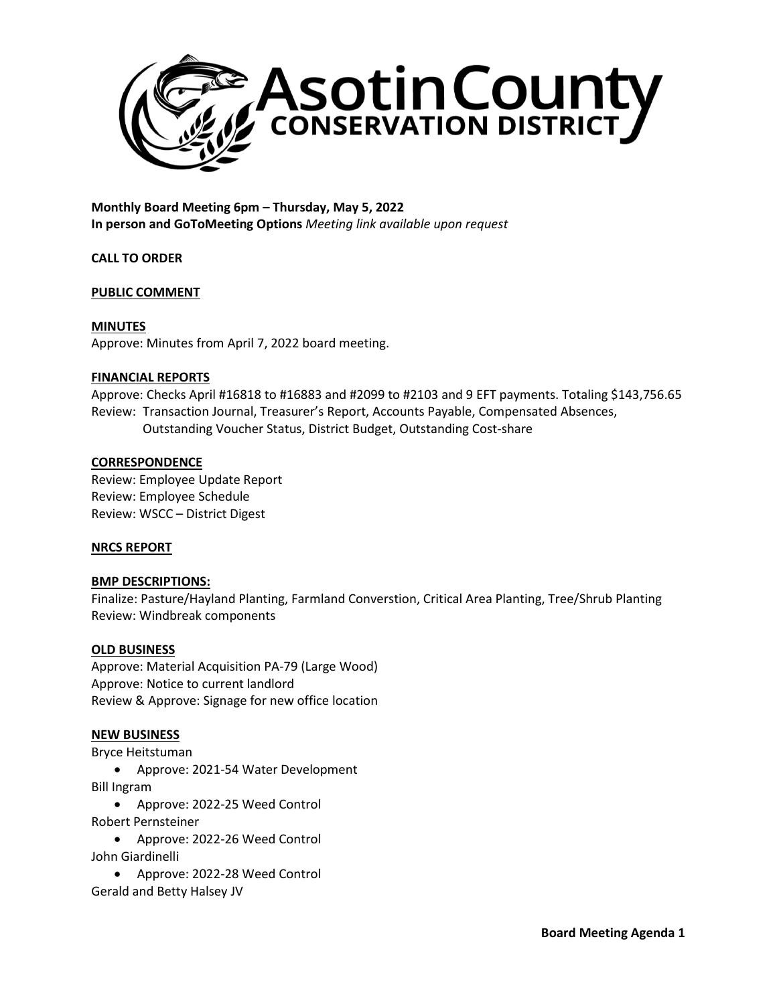

**Monthly Board Meeting 6pm – Thursday, May 5, 2022 In person and GoToMeeting Options** *Meeting link available upon request*

**CALL TO ORDER**

# **PUBLIC COMMENT**

# **MINUTES**

Approve: Minutes from April 7, 2022 board meeting.

## **FINANCIAL REPORTS**

Approve: Checks April #16818 to #16883 and #2099 to #2103 and 9 EFT payments. Totaling \$143,756.65 Review: Transaction Journal, Treasurer's Report, Accounts Payable, Compensated Absences, Outstanding Voucher Status, District Budget, Outstanding Cost-share

## **CORRESPONDENCE**

Review: Employee Update Report Review: Employee Schedule Review: WSCC – District Digest

# **NRCS REPORT**

# **BMP DESCRIPTIONS:**

Finalize: Pasture/Hayland Planting, Farmland Converstion, Critical Area Planting, Tree/Shrub Planting Review: Windbreak components

# **OLD BUSINESS**

Approve: Material Acquisition PA-79 (Large Wood) Approve: Notice to current landlord Review & Approve: Signage for new office location

# **NEW BUSINESS**

Bryce Heitstuman

• Approve: 2021-54 Water Development Bill Ingram

- Approve: 2022-25 Weed Control Robert Pernsteiner
- Approve: 2022-26 Weed Control John Giardinelli
- Approve: 2022-28 Weed Control Gerald and Betty Halsey JV